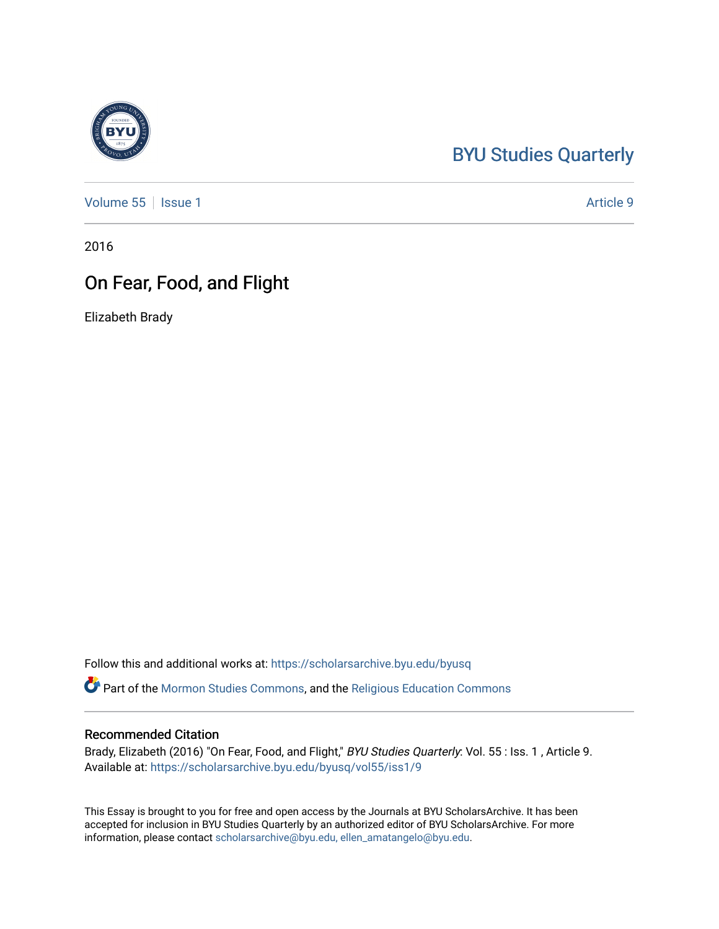## [BYU Studies Quarterly](https://scholarsarchive.byu.edu/byusq)

[Volume 55](https://scholarsarchive.byu.edu/byusq/vol55) | [Issue 1](https://scholarsarchive.byu.edu/byusq/vol55/iss1) Article 9

2016

## On Fear, Food, and Flight

Elizabeth Brady

Follow this and additional works at: [https://scholarsarchive.byu.edu/byusq](https://scholarsarchive.byu.edu/byusq?utm_source=scholarsarchive.byu.edu%2Fbyusq%2Fvol55%2Fiss1%2F9&utm_medium=PDF&utm_campaign=PDFCoverPages) 

Part of the [Mormon Studies Commons](http://network.bepress.com/hgg/discipline/1360?utm_source=scholarsarchive.byu.edu%2Fbyusq%2Fvol55%2Fiss1%2F9&utm_medium=PDF&utm_campaign=PDFCoverPages), and the [Religious Education Commons](http://network.bepress.com/hgg/discipline/1414?utm_source=scholarsarchive.byu.edu%2Fbyusq%2Fvol55%2Fiss1%2F9&utm_medium=PDF&utm_campaign=PDFCoverPages) 

## Recommended Citation

Brady, Elizabeth (2016) "On Fear, Food, and Flight," BYU Studies Quarterly: Vol. 55 : Iss. 1, Article 9. Available at: [https://scholarsarchive.byu.edu/byusq/vol55/iss1/9](https://scholarsarchive.byu.edu/byusq/vol55/iss1/9?utm_source=scholarsarchive.byu.edu%2Fbyusq%2Fvol55%2Fiss1%2F9&utm_medium=PDF&utm_campaign=PDFCoverPages)

This Essay is brought to you for free and open access by the Journals at BYU ScholarsArchive. It has been accepted for inclusion in BYU Studies Quarterly by an authorized editor of BYU ScholarsArchive. For more information, please contact [scholarsarchive@byu.edu, ellen\\_amatangelo@byu.edu.](mailto:scholarsarchive@byu.edu,%20ellen_amatangelo@byu.edu)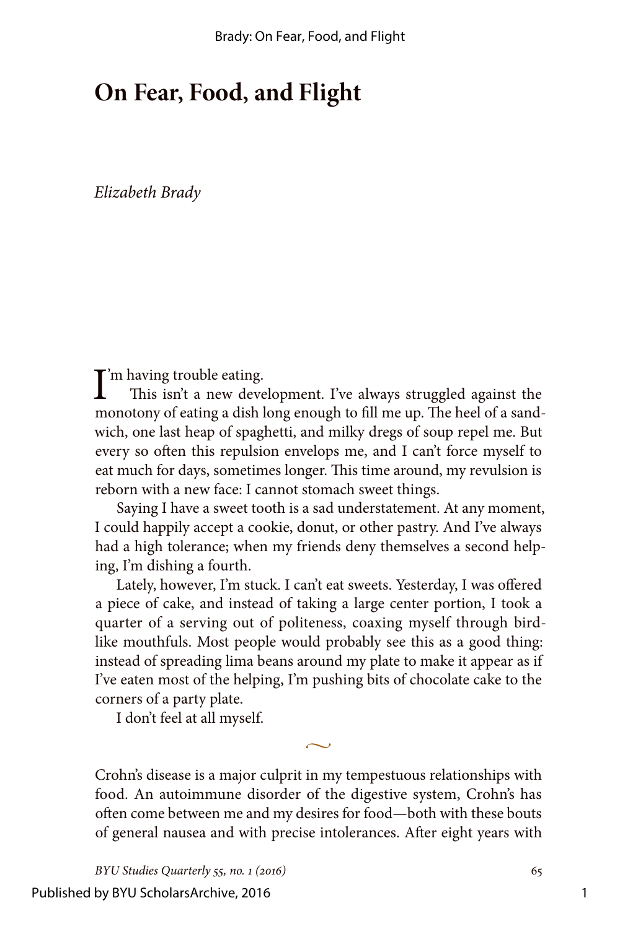## **On Fear, Food, and Flight**

*Elizabeth Brady*

 $\prod$ 'm having trouble eating.<br>This isn't a new deve This isn't a new development. I've always struggled against the monotony of eating a dish long enough to fill me up. The heel of a sandwich, one last heap of spaghetti, and milky dregs of soup repel me. But every so often this repulsion envelops me, and I can't force myself to eat much for days, sometimes longer. This time around, my revulsion is reborn with a new face: I cannot stomach sweet things.

Saying I have a sweet tooth is a sad understatement. At any moment, I could happily accept a cookie, donut, or other pastry. And I've always had a high tolerance; when my friends deny themselves a second helping, I'm dishing a fourth.

Lately, however, I'm stuck. I can't eat sweets. Yesterday, I was offered a piece of cake, and instead of taking a large center portion, I took a quarter of a serving out of politeness, coaxing myself through birdlike mouthfuls. Most people would probably see this as a good thing: instead of spreading lima beans around my plate to make it appear as if I've eaten most of the helping, I'm pushing bits of chocolate cake to the corners of a party plate.

I don't feel at all myself.

Crohn's disease is a major culprit in my tempestuous relationships with food. An autoimmune disorder of the digestive system, Crohn's has often come between me and my desires for food—both with these bouts of general nausea and with precise intolerances. After eight years with

 $\sim$ 

*BYU Studies Quarterly 55, no. 1 (2016)* 65

Published by BYU ScholarsArchive, 2016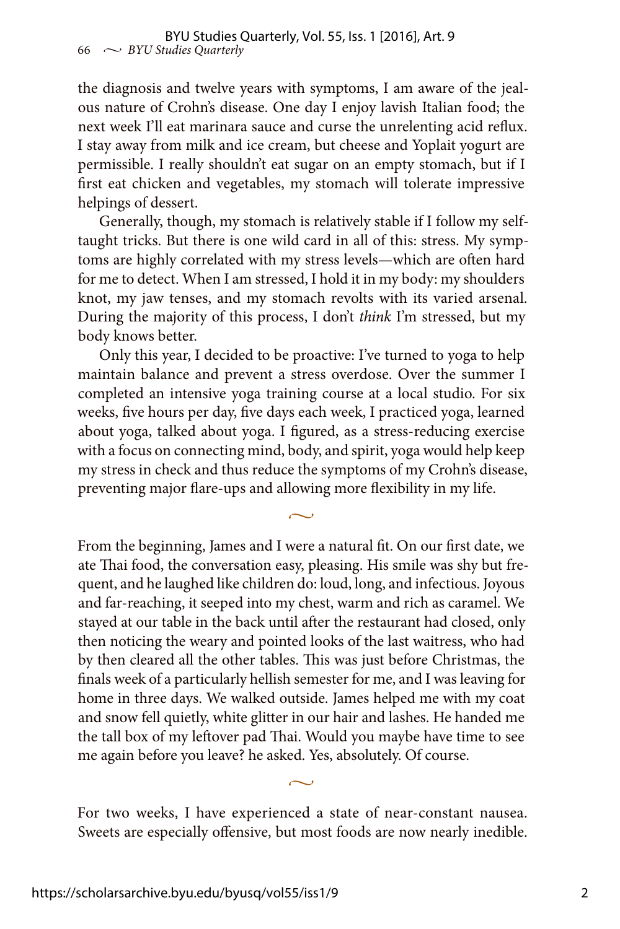the diagnosis and twelve years with symptoms, I am aware of the jealous nature of Crohn's disease. One day I enjoy lavish Italian food; the next week I'll eat marinara sauce and curse the unrelenting acid reflux. I stay away from milk and ice cream, but cheese and Yoplait yogurt are permissible. I really shouldn't eat sugar on an empty stomach, but if I first eat chicken and vegetables, my stomach will tolerate impressive helpings of dessert.

Generally, though, my stomach is relatively stable if I follow my selftaught tricks. But there is one wild card in all of this: stress. My symptoms are highly correlated with my stress levels—which are often hard for me to detect. When I am stressed, I hold it in my body: my shoulders knot, my jaw tenses, and my stomach revolts with its varied arsenal. During the majority of this process, I don't *think* I'm stressed, but my body knows better.

Only this year, I decided to be proactive: I've turned to yoga to help maintain balance and prevent a stress overdose. Over the summer I completed an intensive yoga training course at a local studio. For six weeks, five hours per day, five days each week, I practiced yoga, learned about yoga, talked about yoga. I figured, as a stress-reducing exercise with a focus on connecting mind, body, and spirit, yoga would help keep my stress in check and thus reduce the symptoms of my Crohn's disease, preventing major flare-ups and allowing more flexibility in my life.

 $\sim$ 

From the beginning, James and I were a natural fit. On our first date, we ate Thai food, the conversation easy, pleasing. His smile was shy but frequent, and he laughed like children do: loud, long, and infectious. Joyous and far-reaching, it seeped into my chest, warm and rich as caramel. We stayed at our table in the back until after the restaurant had closed, only then noticing the weary and pointed looks of the last waitress, who had by then cleared all the other tables. This was just before Christmas, the finals week of a particularly hellish semester for me, and I was leaving for home in three days. We walked outside. James helped me with my coat and snow fell quietly, white glitter in our hair and lashes. He handed me the tall box of my leftover pad Thai. Would you maybe have time to see me again before you leave? he asked. Yes, absolutely. Of course.

For two weeks, I have experienced a state of near-constant nausea. Sweets are especially offensive, but most foods are now nearly inedible.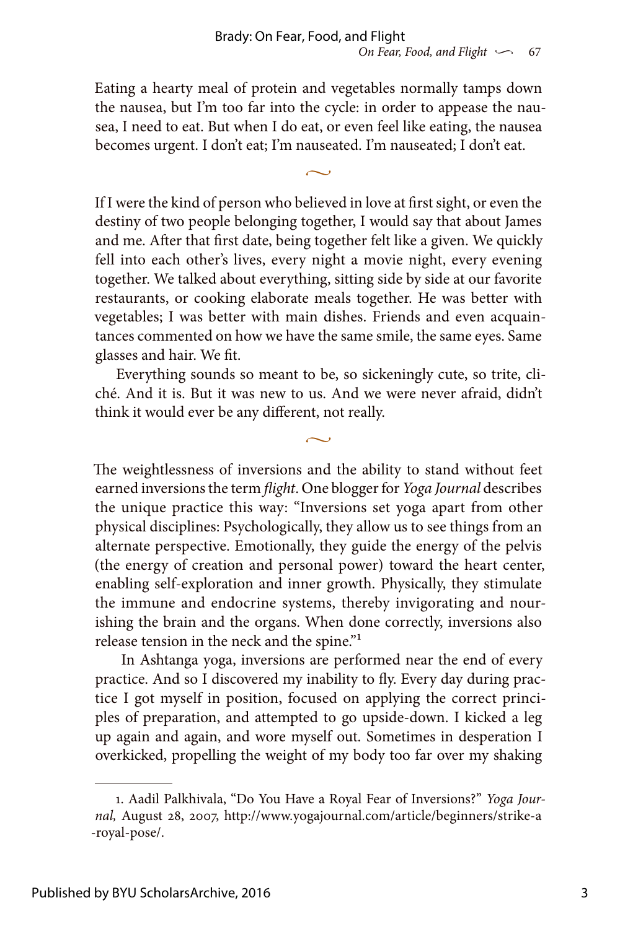Eating a hearty meal of protein and vegetables normally tamps down the nausea, but I'm too far into the cycle: in order to appease the nausea, I need to eat. But when I do eat, or even feel like eating, the nausea becomes urgent. I don't eat; I'm nauseated. I'm nauseated; I don't eat.

 $\sim$ 

If I were the kind of person who believed in love at first sight, or even the destiny of two people belonging together, I would say that about James and me. After that first date, being together felt like a given. We quickly fell into each other's lives, every night a movie night, every evening together. We talked about everything, sitting side by side at our favorite restaurants, or cooking elaborate meals together. He was better with vegetables; I was better with main dishes. Friends and even acquaintances commented on how we have the same smile, the same eyes. Same glasses and hair. We fit.

Everything sounds so meant to be, so sickeningly cute, so trite, cliché. And it is. But it was new to us. And we were never afraid, didn't think it would ever be any different, not really.

 $\sim$ 

The weightlessness of inversions and the ability to stand without feet earned inversions the term *flight*. One blogger for *Yoga Journal* describes the unique practice this way: "Inversions set yoga apart from other physical disciplines: Psychologically, they allow us to see things from an alternate perspective. Emotionally, they guide the energy of the pelvis (the energy of creation and personal power) toward the heart center, enabling self-exploration and inner growth. Physically, they stimulate the immune and endocrine systems, thereby invigorating and nourishing the brain and the organs. When done correctly, inversions also release tension in the neck and the spine."1

 In Ashtanga yoga, inversions are performed near the end of every practice. And so I discovered my inability to fly. Every day during practice I got myself in position, focused on applying the correct principles of preparation, and attempted to go upside-down. I kicked a leg up again and again, and wore myself out. Sometimes in desperation I overkicked, propelling the weight of my body too far over my shaking

<sup>1.</sup> Aadil Palkhivala, "Do You Have a Royal Fear of Inversions?" *Yoga Journal,* August 28, 2007, http://www.yogajournal.com/article/beginners/strike-a -royal-pose/.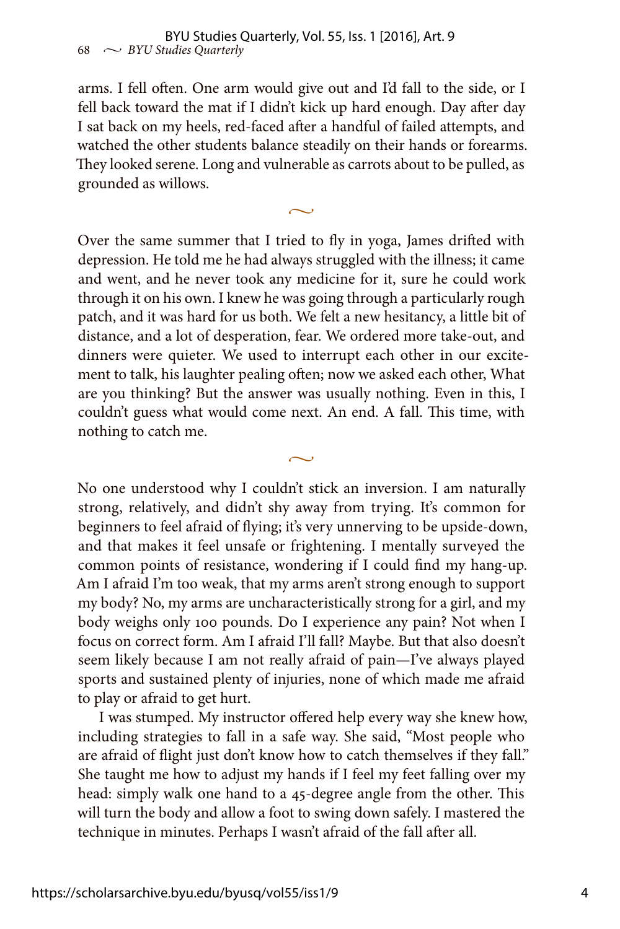arms. I fell often. One arm would give out and I'd fall to the side, or I fell back toward the mat if I didn't kick up hard enough. Day after day I sat back on my heels, red-faced after a handful of failed attempts, and watched the other students balance steadily on their hands or forearms. They looked serene. Long and vulnerable as carrots about to be pulled, as grounded as willows.

 $\sim$ 

Over the same summer that I tried to fly in yoga, James drifted with depression. He told me he had always struggled with the illness; it came and went, and he never took any medicine for it, sure he could work through it on his own. I knew he was going through a particularly rough patch, and it was hard for us both. We felt a new hesitancy, a little bit of distance, and a lot of desperation, fear. We ordered more take-out, and dinners were quieter. We used to interrupt each other in our excitement to talk, his laughter pealing often; now we asked each other, What are you thinking? But the answer was usually nothing. Even in this, I couldn't guess what would come next. An end. A fall. This time, with nothing to catch me.

 $\sim$ 

No one understood why I couldn't stick an inversion. I am naturally strong, relatively, and didn't shy away from trying. It's common for beginners to feel afraid of flying; it's very unnerving to be upside-down, and that makes it feel unsafe or frightening. I mentally surveyed the common points of resistance, wondering if I could find my hang-up. Am I afraid I'm too weak, that my arms aren't strong enough to support my body? No, my arms are uncharacteristically strong for a girl, and my body weighs only 100 pounds. Do I experience any pain? Not when I focus on correct form. Am I afraid I'll fall? Maybe. But that also doesn't seem likely because I am not really afraid of pain—I've always played sports and sustained plenty of injuries, none of which made me afraid to play or afraid to get hurt.

I was stumped. My instructor offered help every way she knew how, including strategies to fall in a safe way. She said, "Most people who are afraid of flight just don't know how to catch themselves if they fall." She taught me how to adjust my hands if I feel my feet falling over my head: simply walk one hand to a 45-degree angle from the other. This will turn the body and allow a foot to swing down safely. I mastered the technique in minutes. Perhaps I wasn't afraid of the fall after all.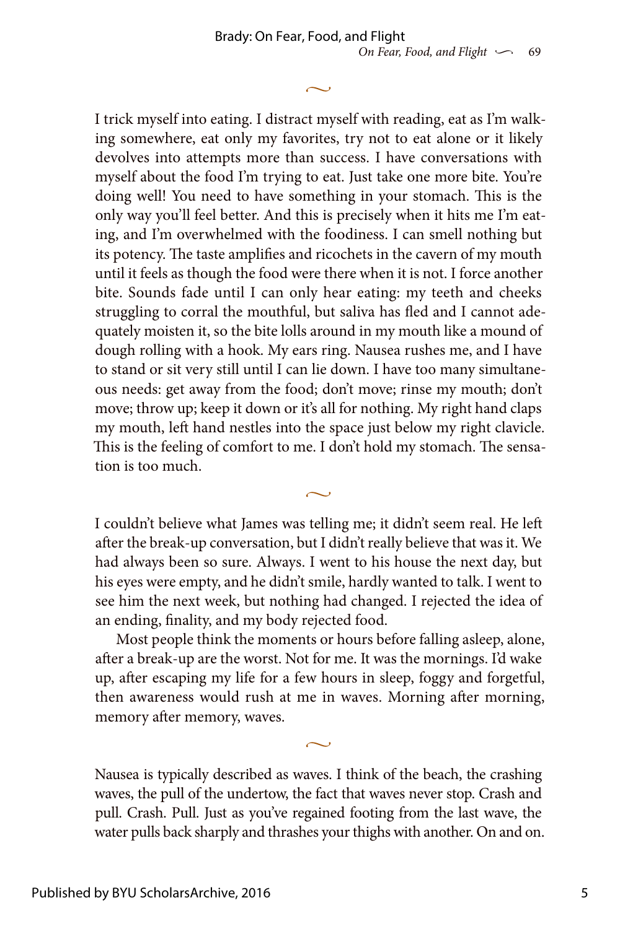I trick myself into eating. I distract myself with reading, eat as I'm walking somewhere, eat only my favorites, try not to eat alone or it likely devolves into attempts more than success. I have conversations with myself about the food I'm trying to eat. Just take one more bite. You're doing well! You need to have something in your stomach. This is the only way you'll feel better. And this is precisely when it hits me I'm eating, and I'm overwhelmed with the foodiness. I can smell nothing but its potency. The taste amplifies and ricochets in the cavern of my mouth until it feels as though the food were there when it is not. I force another bite. Sounds fade until I can only hear eating: my teeth and cheeks struggling to corral the mouthful, but saliva has fled and I cannot adequately moisten it, so the bite lolls around in my mouth like a mound of dough rolling with a hook. My ears ring. Nausea rushes me, and I have to stand or sit very still until I can lie down. I have too many simultaneous needs: get away from the food; don't move; rinse my mouth; don't move; throw up; keep it down or it's all for nothing. My right hand claps my mouth, left hand nestles into the space just below my right clavicle. This is the feeling of comfort to me. I don't hold my stomach. The sensation is too much.

 $\sim$ 

I couldn't believe what James was telling me; it didn't seem real. He left after the break-up conversation, but I didn't really believe that was it. We had always been so sure. Always. I went to his house the next day, but his eyes were empty, and he didn't smile, hardly wanted to talk. I went to see him the next week, but nothing had changed. I rejected the idea of an ending, finality, and my body rejected food.

 $\sim$ 

Most people think the moments or hours before falling asleep, alone, after a break-up are the worst. Not for me. It was the mornings. I'd wake up, after escaping my life for a few hours in sleep, foggy and forgetful, then awareness would rush at me in waves. Morning after morning, memory after memory, waves.

Nausea is typically described as waves. I think of the beach, the crashing waves, the pull of the undertow, the fact that waves never stop. Crash and pull. Crash. Pull. Just as you've regained footing from the last wave, the water pulls back sharply and thrashes your thighs with another. On and on.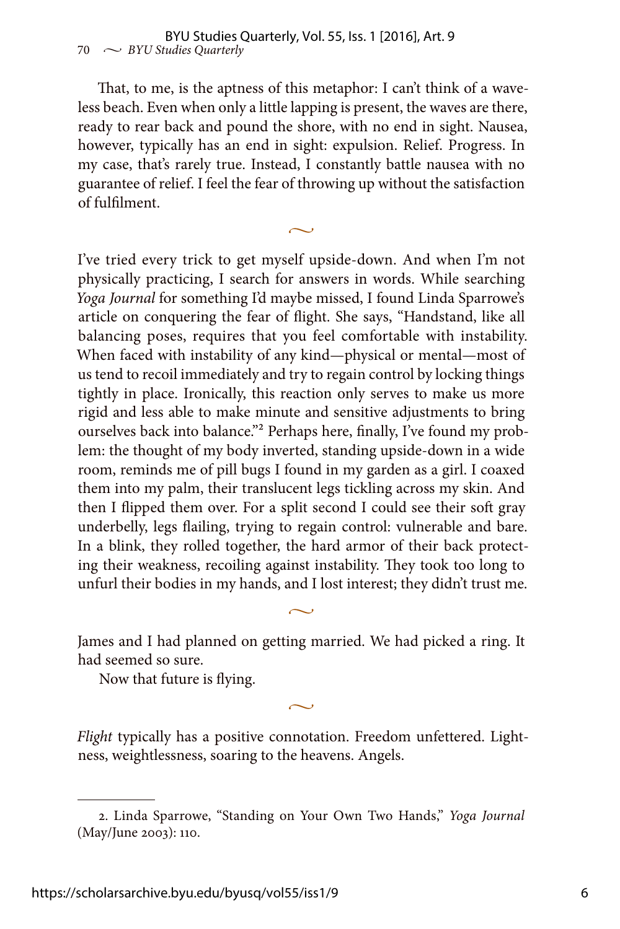That, to me, is the aptness of this metaphor: I can't think of a waveless beach. Even when only a little lapping is present, the waves are there, ready to rear back and pound the shore, with no end in sight. Nausea, however, typically has an end in sight: expulsion. Relief. Progress. In my case, that's rarely true. Instead, I constantly battle nausea with no guarantee of relief. I feel the fear of throwing up without the satisfaction of fulfilment.

 $\sim$ 

I've tried every trick to get myself upside-down. And when I'm not physically practicing, I search for answers in words. While searching *Yoga Journal* for something I'd maybe missed, I found Linda Sparrowe's article on conquering the fear of flight. She says, "Handstand, like all balancing poses, requires that you feel comfortable with instability. When faced with instability of any kind—physical or mental—most of us tend to recoil immediately and try to regain control by locking things tightly in place. Ironically, this reaction only serves to make us more rigid and less able to make minute and sensitive adjustments to bring ourselves back into balance."<sup>2</sup> Perhaps here, finally, I've found my problem: the thought of my body inverted, standing upside-down in a wide room, reminds me of pill bugs I found in my garden as a girl. I coaxed them into my palm, their translucent legs tickling across my skin. And then I flipped them over. For a split second I could see their soft gray underbelly, legs flailing, trying to regain control: vulnerable and bare. In a blink, they rolled together, the hard armor of their back protecting their weakness, recoiling against instability. They took too long to unfurl their bodies in my hands, and I lost interest; they didn't trust me.

James and I had planned on getting married. We had picked a ring. It had seemed so sure.

 $\sim$ 

Now that future is flying.

*Flight* typically has a positive connotation. Freedom unfettered. Lightness, weightlessness, soaring to the heavens. Angels.

<sup>2.</sup> Linda Sparrowe, "Standing on Your Own Two Hands," *Yoga Journal* (May/June 2003): 110.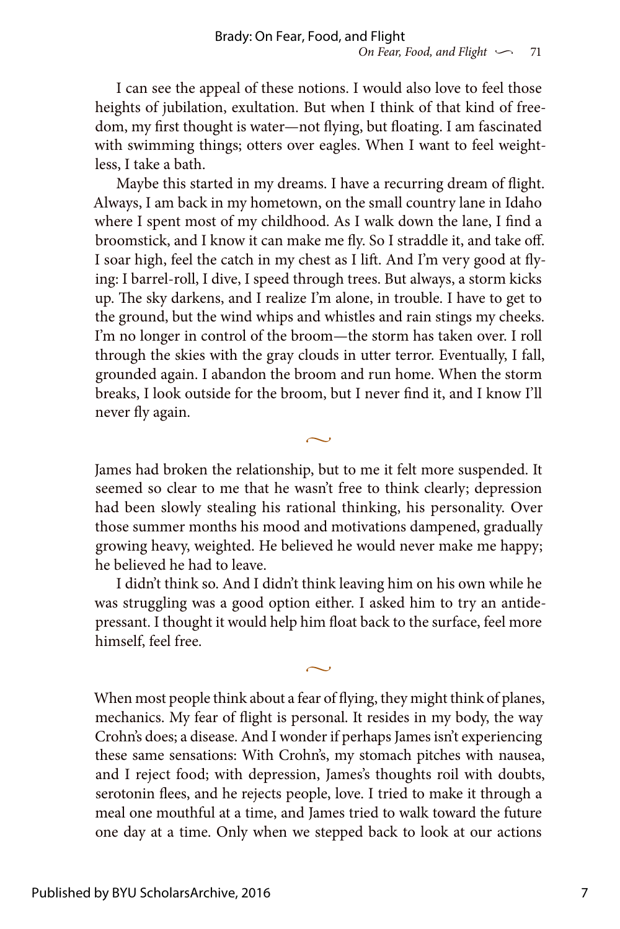I can see the appeal of these notions. I would also love to feel those heights of jubilation, exultation. But when I think of that kind of freedom, my first thought is water—not flying, but floating. I am fascinated with swimming things; otters over eagles. When I want to feel weightless, I take a bath.

Maybe this started in my dreams. I have a recurring dream of flight. Always, I am back in my hometown, on the small country lane in Idaho where I spent most of my childhood. As I walk down the lane, I find a broomstick, and I know it can make me fly. So I straddle it, and take off. I soar high, feel the catch in my chest as I lift. And I'm very good at flying: I barrel-roll, I dive, I speed through trees. But always, a storm kicks up. The sky darkens, and I realize I'm alone, in trouble. I have to get to the ground, but the wind whips and whistles and rain stings my cheeks. I'm no longer in control of the broom—the storm has taken over. I roll through the skies with the gray clouds in utter terror. Eventually, I fall, grounded again. I abandon the broom and run home. When the storm breaks, I look outside for the broom, but I never find it, and I know I'll never fly again.

James had broken the relationship, but to me it felt more suspended. It seemed so clear to me that he wasn't free to think clearly; depression had been slowly stealing his rational thinking, his personality. Over those summer months his mood and motivations dampened, gradually growing heavy, weighted. He believed he would never make me happy; he believed he had to leave.

 $\sim$ 

I didn't think so. And I didn't think leaving him on his own while he was struggling was a good option either. I asked him to try an antidepressant. I thought it would help him float back to the surface, feel more himself, feel free.

 $\sim$ 

When most people think about a fear of flying, they might think of planes, mechanics. My fear of flight is personal. It resides in my body, the way Crohn's does; a disease. And I wonder if perhaps James isn't experiencing these same sensations: With Crohn's, my stomach pitches with nausea, and I reject food; with depression, James's thoughts roil with doubts, serotonin flees, and he rejects people, love. I tried to make it through a meal one mouthful at a time, and James tried to walk toward the future one day at a time. Only when we stepped back to look at our actions